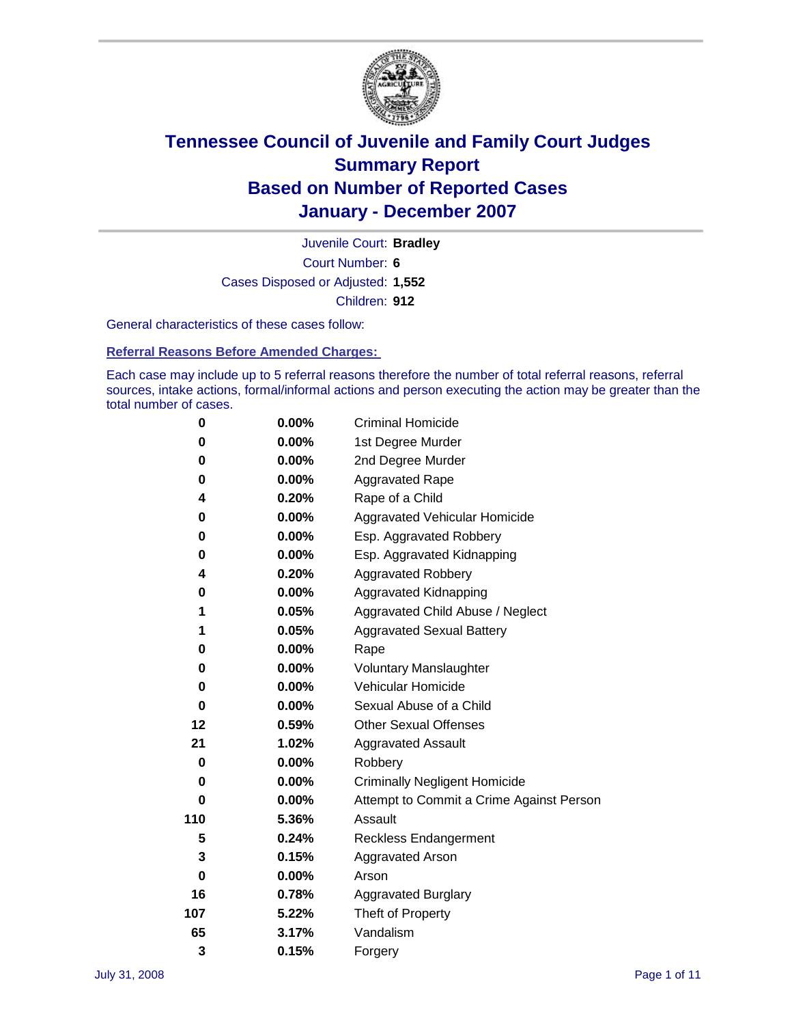

Court Number: **6** Juvenile Court: **Bradley** Cases Disposed or Adjusted: **1,552** Children: **912**

General characteristics of these cases follow:

**Referral Reasons Before Amended Charges:** 

Each case may include up to 5 referral reasons therefore the number of total referral reasons, referral sources, intake actions, formal/informal actions and person executing the action may be greater than the total number of cases.

| 0   | $0.00\%$ | <b>Criminal Homicide</b>                 |
|-----|----------|------------------------------------------|
| 0   | 0.00%    | 1st Degree Murder                        |
| 0   | $0.00\%$ | 2nd Degree Murder                        |
| 0   | 0.00%    | <b>Aggravated Rape</b>                   |
| 4   | 0.20%    | Rape of a Child                          |
| 0   | $0.00\%$ | Aggravated Vehicular Homicide            |
| 0   | $0.00\%$ | Esp. Aggravated Robbery                  |
| 0   | $0.00\%$ | Esp. Aggravated Kidnapping               |
| 4   | 0.20%    | <b>Aggravated Robbery</b>                |
| 0   | 0.00%    | Aggravated Kidnapping                    |
| 1   | 0.05%    | Aggravated Child Abuse / Neglect         |
| 1   | 0.05%    | <b>Aggravated Sexual Battery</b>         |
| 0   | $0.00\%$ | Rape                                     |
| 0   | 0.00%    | <b>Voluntary Manslaughter</b>            |
| 0   | 0.00%    | Vehicular Homicide                       |
| 0   | $0.00\%$ | Sexual Abuse of a Child                  |
| 12  | 0.59%    | <b>Other Sexual Offenses</b>             |
| 21  | 1.02%    | <b>Aggravated Assault</b>                |
| 0   | 0.00%    | Robbery                                  |
| 0   | $0.00\%$ | <b>Criminally Negligent Homicide</b>     |
| 0   | 0.00%    | Attempt to Commit a Crime Against Person |
| 110 | 5.36%    | Assault                                  |
| 5   | 0.24%    | <b>Reckless Endangerment</b>             |
| 3   | 0.15%    | <b>Aggravated Arson</b>                  |
| 0   | $0.00\%$ | Arson                                    |
| 16  | 0.78%    | <b>Aggravated Burglary</b>               |
| 107 | 5.22%    | Theft of Property                        |
| 65  | 3.17%    | Vandalism                                |
| 3   | 0.15%    | Forgery                                  |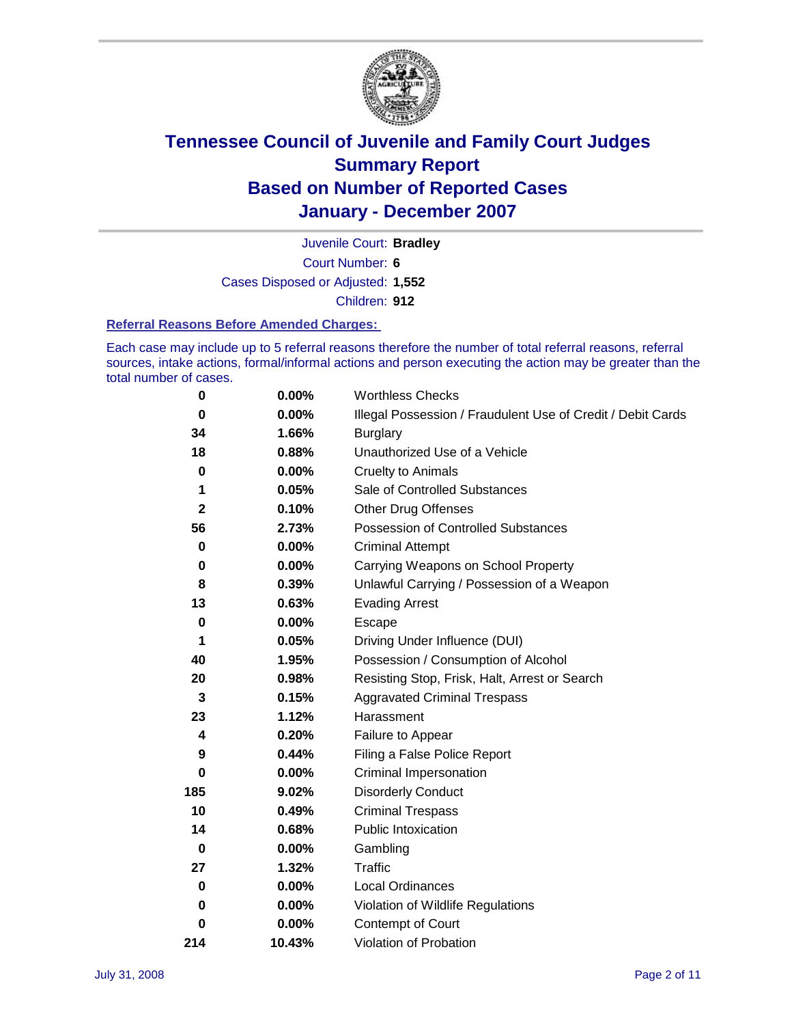

Court Number: **6** Juvenile Court: **Bradley** Cases Disposed or Adjusted: **1,552** Children: **912**

#### **Referral Reasons Before Amended Charges:**

Each case may include up to 5 referral reasons therefore the number of total referral reasons, referral sources, intake actions, formal/informal actions and person executing the action may be greater than the total number of cases.

| $\pmb{0}$   | 0.00%  | <b>Worthless Checks</b>                                     |
|-------------|--------|-------------------------------------------------------------|
| $\bf{0}$    | 0.00%  | Illegal Possession / Fraudulent Use of Credit / Debit Cards |
| 34          | 1.66%  | <b>Burglary</b>                                             |
| 18          | 0.88%  | Unauthorized Use of a Vehicle                               |
| $\pmb{0}$   | 0.00%  | <b>Cruelty to Animals</b>                                   |
| 1           | 0.05%  | Sale of Controlled Substances                               |
| $\mathbf 2$ | 0.10%  | <b>Other Drug Offenses</b>                                  |
| 56          | 2.73%  | <b>Possession of Controlled Substances</b>                  |
| 0           | 0.00%  | <b>Criminal Attempt</b>                                     |
| 0           | 0.00%  | Carrying Weapons on School Property                         |
| 8           | 0.39%  | Unlawful Carrying / Possession of a Weapon                  |
| 13          | 0.63%  | <b>Evading Arrest</b>                                       |
| 0           | 0.00%  | Escape                                                      |
| 1           | 0.05%  | Driving Under Influence (DUI)                               |
| 40          | 1.95%  | Possession / Consumption of Alcohol                         |
| 20          | 0.98%  | Resisting Stop, Frisk, Halt, Arrest or Search               |
| 3           | 0.15%  | <b>Aggravated Criminal Trespass</b>                         |
| 23          | 1.12%  | Harassment                                                  |
| 4           | 0.20%  | Failure to Appear                                           |
| 9           | 0.44%  | Filing a False Police Report                                |
| $\bf{0}$    | 0.00%  | Criminal Impersonation                                      |
| 185         | 9.02%  | <b>Disorderly Conduct</b>                                   |
| 10          | 0.49%  | <b>Criminal Trespass</b>                                    |
| 14          | 0.68%  | <b>Public Intoxication</b>                                  |
| $\bf{0}$    | 0.00%  | Gambling                                                    |
| 27          | 1.32%  | Traffic                                                     |
| 0           | 0.00%  | Local Ordinances                                            |
| 0           | 0.00%  | Violation of Wildlife Regulations                           |
| 0           | 0.00%  | Contempt of Court                                           |
| 214         | 10.43% | Violation of Probation                                      |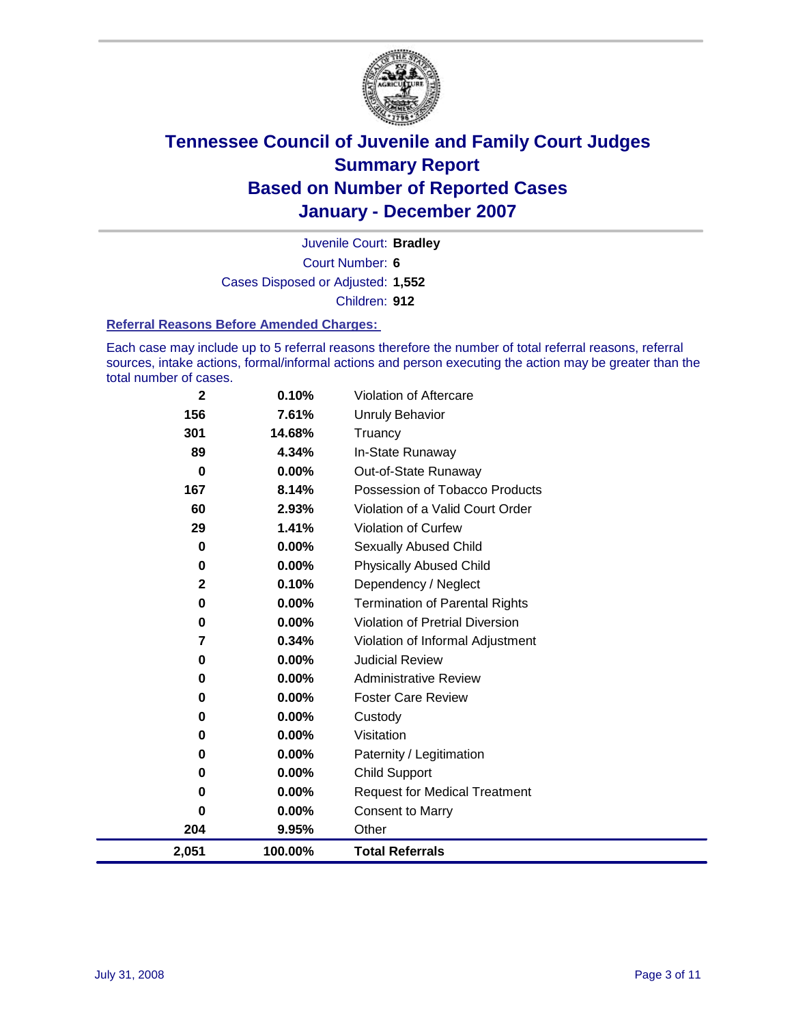

Court Number: **6** Juvenile Court: **Bradley** Cases Disposed or Adjusted: **1,552** Children: **912**

#### **Referral Reasons Before Amended Charges:**

Each case may include up to 5 referral reasons therefore the number of total referral reasons, referral sources, intake actions, formal/informal actions and person executing the action may be greater than the total number of cases.

| $\mathbf{2}$ | 0.10%   | <b>Violation of Aftercare</b>          |
|--------------|---------|----------------------------------------|
| 156          | 7.61%   | <b>Unruly Behavior</b>                 |
| 301          | 14.68%  | Truancy                                |
| 89           | 4.34%   | In-State Runaway                       |
| 0            | 0.00%   | Out-of-State Runaway                   |
| 167          | 8.14%   | Possession of Tobacco Products         |
| 60           | 2.93%   | Violation of a Valid Court Order       |
| 29           | 1.41%   | Violation of Curfew                    |
| $\bf{0}$     | 0.00%   | <b>Sexually Abused Child</b>           |
| 0            | 0.00%   | <b>Physically Abused Child</b>         |
| $\mathbf 2$  | 0.10%   | Dependency / Neglect                   |
| $\bf{0}$     | 0.00%   | <b>Termination of Parental Rights</b>  |
| 0            | 0.00%   | <b>Violation of Pretrial Diversion</b> |
| 7            | 0.34%   | Violation of Informal Adjustment       |
| 0            | 0.00%   | <b>Judicial Review</b>                 |
| $\bf{0}$     | 0.00%   | <b>Administrative Review</b>           |
| 0            | 0.00%   | <b>Foster Care Review</b>              |
| 0            | 0.00%   | Custody                                |
| 0            | 0.00%   | Visitation                             |
| $\bf{0}$     | 0.00%   | Paternity / Legitimation               |
| 0            | 0.00%   | <b>Child Support</b>                   |
| 0            | 0.00%   | <b>Request for Medical Treatment</b>   |
| $\bf{0}$     | 0.00%   | <b>Consent to Marry</b>                |
| 204          | 9.95%   | Other                                  |
| 2,051        | 100.00% | <b>Total Referrals</b>                 |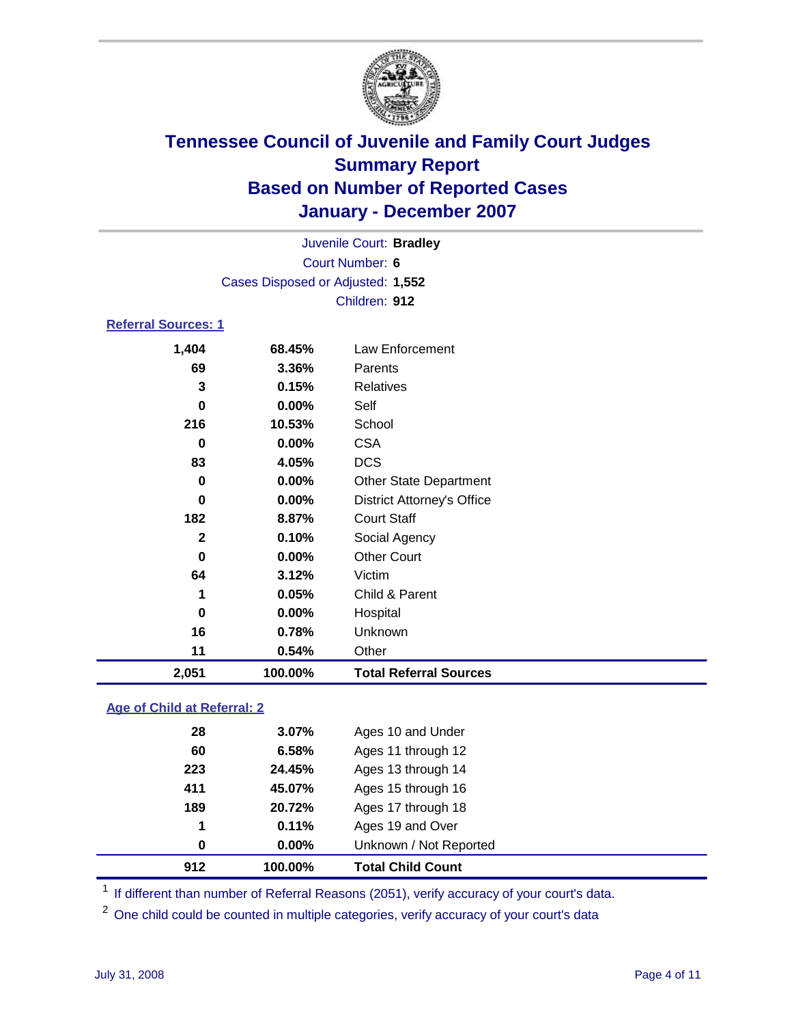

Court Number: **6** Juvenile Court: **Bradley** Cases Disposed or Adjusted: **1,552** Children: **912**

### **Referral Sources: 1**

| 182<br>$\mathbf 2$<br>0<br>64<br>1<br>$\bf{0}$<br>16<br>11 | 8.87%<br>0.10%<br>0.00%<br>3.12%<br>0.05%<br>0.00%<br>0.78%<br>0.54% | <b>Court Staff</b><br>Social Agency<br><b>Other Court</b><br>Victim<br>Child & Parent<br>Hospital<br>Unknown<br>Other |
|------------------------------------------------------------|----------------------------------------------------------------------|-----------------------------------------------------------------------------------------------------------------------|
|                                                            |                                                                      |                                                                                                                       |
|                                                            |                                                                      |                                                                                                                       |
|                                                            |                                                                      |                                                                                                                       |
|                                                            |                                                                      |                                                                                                                       |
|                                                            |                                                                      |                                                                                                                       |
|                                                            |                                                                      |                                                                                                                       |
|                                                            |                                                                      |                                                                                                                       |
|                                                            |                                                                      |                                                                                                                       |
| 0                                                          | 0.00%                                                                | <b>District Attorney's Office</b>                                                                                     |
| 0                                                          | 0.00%                                                                | <b>Other State Department</b>                                                                                         |
| 83                                                         | 4.05%                                                                | <b>DCS</b>                                                                                                            |
| 0                                                          | 0.00%                                                                | <b>CSA</b>                                                                                                            |
| 216                                                        | 10.53%                                                               | School                                                                                                                |
| $\mathbf 0$                                                | 0.00%                                                                | Self                                                                                                                  |
| 3                                                          | 0.15%                                                                | Relatives                                                                                                             |
| 69                                                         | 3.36%                                                                | Parents                                                                                                               |
| 1,404                                                      | 68.45%                                                               | Law Enforcement                                                                                                       |
|                                                            |                                                                      |                                                                                                                       |

### **Age of Child at Referral: 2**

| 912 | 100.00% | <b>Total Child Count</b> |  |
|-----|---------|--------------------------|--|
| 0   | 0.00%   | Unknown / Not Reported   |  |
| 1   | 0.11%   | Ages 19 and Over         |  |
| 189 | 20.72%  | Ages 17 through 18       |  |
| 411 | 45.07%  | Ages 15 through 16       |  |
| 223 | 24.45%  | Ages 13 through 14       |  |
| 60  | 6.58%   | Ages 11 through 12       |  |
| 28  | 3.07%   | Ages 10 and Under        |  |
|     |         |                          |  |

<sup>1</sup> If different than number of Referral Reasons (2051), verify accuracy of your court's data.

<sup>2</sup> One child could be counted in multiple categories, verify accuracy of your court's data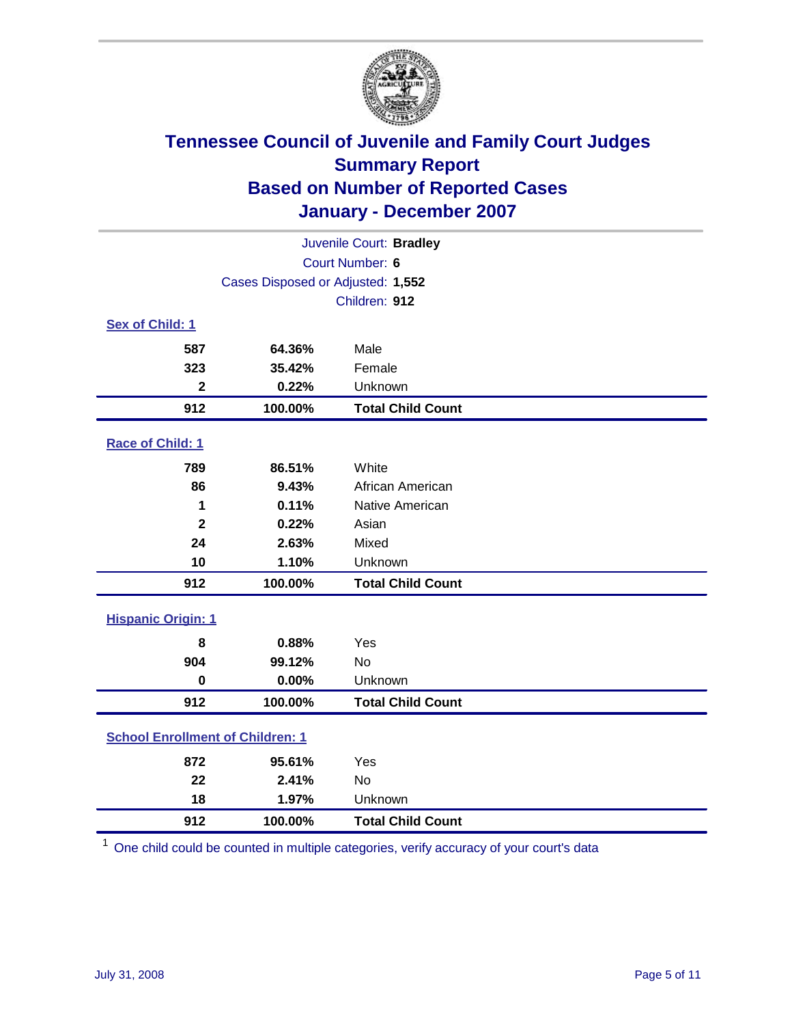

| Juvenile Court: Bradley                 |                                   |                          |  |  |
|-----------------------------------------|-----------------------------------|--------------------------|--|--|
| Court Number: 6                         |                                   |                          |  |  |
|                                         | Cases Disposed or Adjusted: 1,552 |                          |  |  |
|                                         |                                   | Children: 912            |  |  |
| Sex of Child: 1                         |                                   |                          |  |  |
| 587                                     | 64.36%                            | Male                     |  |  |
| 323                                     | 35.42%                            | Female                   |  |  |
| $\mathbf{2}$                            | 0.22%                             | Unknown                  |  |  |
| 912                                     | 100.00%                           | <b>Total Child Count</b> |  |  |
| Race of Child: 1                        |                                   |                          |  |  |
| 789                                     | 86.51%                            | White                    |  |  |
| 86                                      | 9.43%                             | African American         |  |  |
| 1                                       | 0.11%                             | Native American          |  |  |
| $\overline{2}$                          | 0.22%                             | Asian                    |  |  |
| 24                                      | 2.63%                             | Mixed                    |  |  |
| 10                                      | 1.10%                             | Unknown                  |  |  |
| 912                                     | 100.00%                           | <b>Total Child Count</b> |  |  |
| <b>Hispanic Origin: 1</b>               |                                   |                          |  |  |
| 8                                       | 0.88%                             | Yes                      |  |  |
| 904                                     | 99.12%                            | <b>No</b>                |  |  |
| $\mathbf 0$                             | 0.00%                             | Unknown                  |  |  |
| 912                                     | 100.00%                           | <b>Total Child Count</b> |  |  |
| <b>School Enrollment of Children: 1</b> |                                   |                          |  |  |
| 872                                     | 95.61%                            | Yes                      |  |  |
| 22                                      | 2.41%                             | No                       |  |  |
| 18                                      | 1.97%                             | Unknown                  |  |  |
| 912                                     | 100.00%                           | <b>Total Child Count</b> |  |  |

One child could be counted in multiple categories, verify accuracy of your court's data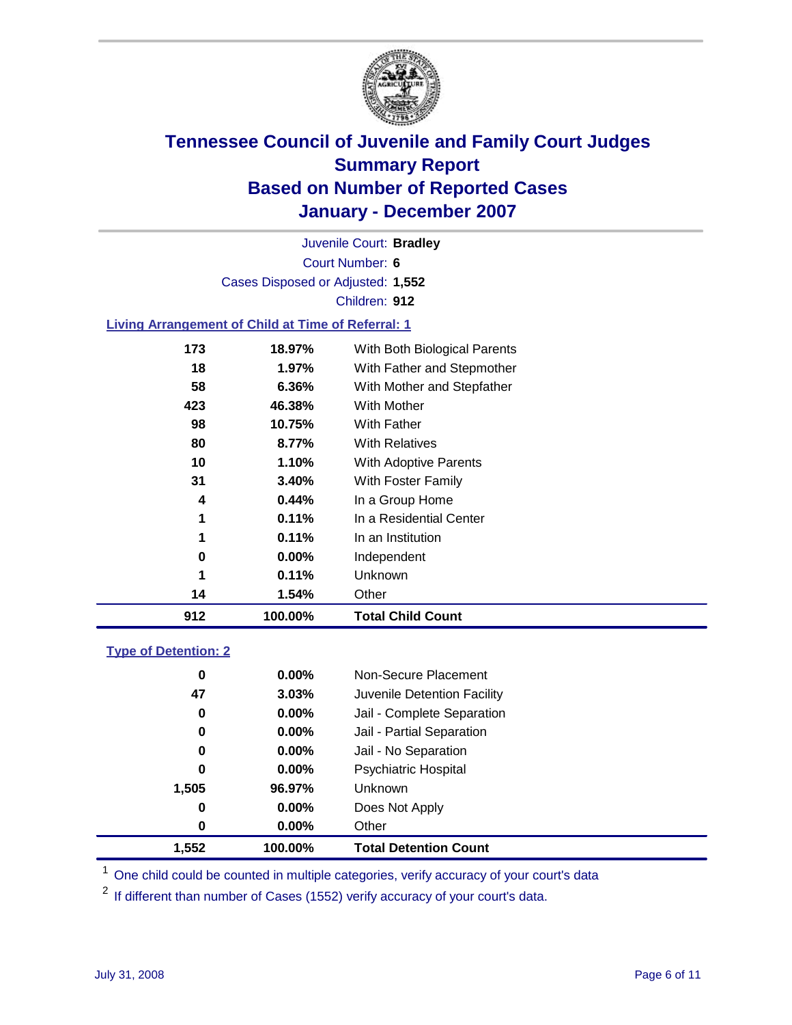

Court Number: **6** Juvenile Court: **Bradley** Cases Disposed or Adjusted: **1,552** Children: **912**

#### **Living Arrangement of Child at Time of Referral: 1**

| 912 | 100.00%  | <b>Total Child Count</b>     |
|-----|----------|------------------------------|
| 14  | 1.54%    | Other                        |
| 1   | 0.11%    | <b>Unknown</b>               |
| 0   | $0.00\%$ | Independent                  |
| 1   | 0.11%    | In an Institution            |
| 1   | 0.11%    | In a Residential Center      |
| 4   | 0.44%    | In a Group Home              |
| 31  | 3.40%    | With Foster Family           |
| 10  | 1.10%    | With Adoptive Parents        |
| 80  | 8.77%    | <b>With Relatives</b>        |
| 98  | 10.75%   | With Father                  |
| 423 | 46.38%   | With Mother                  |
| 58  | 6.36%    | With Mother and Stepfather   |
| 18  | 1.97%    | With Father and Stepmother   |
| 173 | 18.97%   | With Both Biological Parents |
|     |          |                              |

#### **Type of Detention: 2**

| 1,552 | 100.00%  | <b>Total Detention Count</b> |  |
|-------|----------|------------------------------|--|
| 0     | 0.00%    | Other                        |  |
| 0     | 0.00%    | Does Not Apply               |  |
| 1,505 | 96.97%   | <b>Unknown</b>               |  |
| 0     | 0.00%    | <b>Psychiatric Hospital</b>  |  |
| 0     | $0.00\%$ | Jail - No Separation         |  |
| 0     | $0.00\%$ | Jail - Partial Separation    |  |
| 0     | $0.00\%$ | Jail - Complete Separation   |  |
| 47    | 3.03%    | Juvenile Detention Facility  |  |
| 0     | $0.00\%$ | Non-Secure Placement         |  |
|       |          |                              |  |

<sup>1</sup> One child could be counted in multiple categories, verify accuracy of your court's data

<sup>2</sup> If different than number of Cases (1552) verify accuracy of your court's data.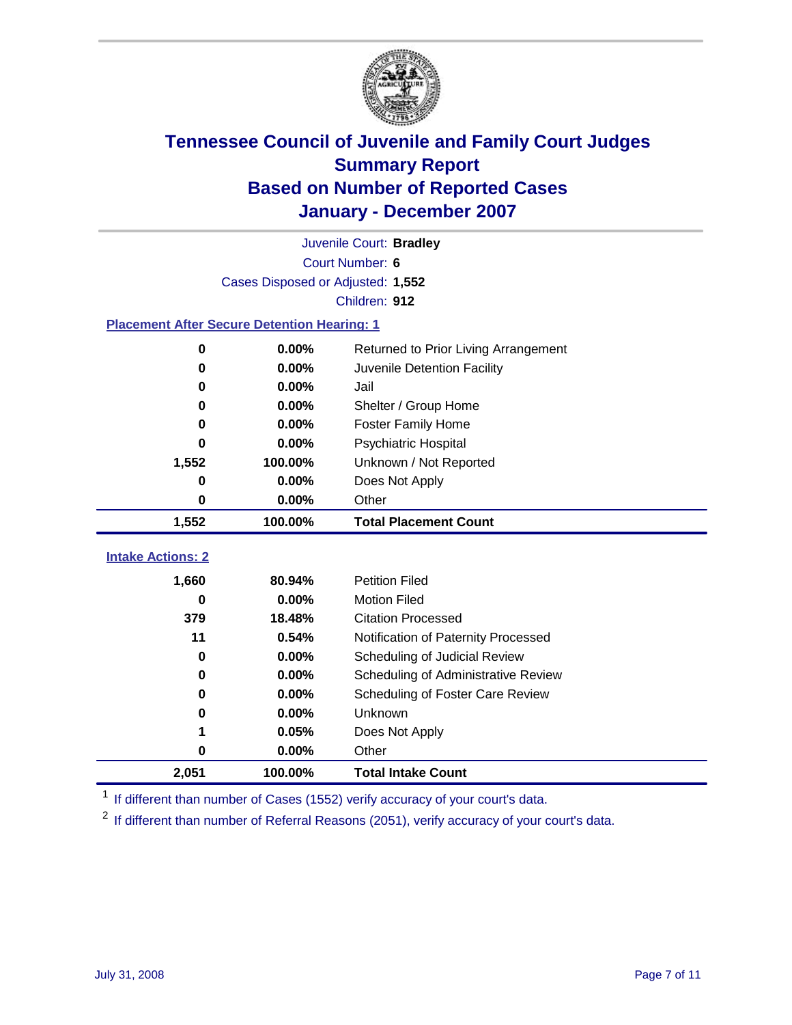

|                                                    | Juvenile Court: Bradley           |                                      |  |  |  |
|----------------------------------------------------|-----------------------------------|--------------------------------------|--|--|--|
| Court Number: 6                                    |                                   |                                      |  |  |  |
|                                                    | Cases Disposed or Adjusted: 1,552 |                                      |  |  |  |
|                                                    |                                   | Children: 912                        |  |  |  |
| <b>Placement After Secure Detention Hearing: 1</b> |                                   |                                      |  |  |  |
| 0                                                  | 0.00%                             | Returned to Prior Living Arrangement |  |  |  |
| 0                                                  | 0.00%                             | Juvenile Detention Facility          |  |  |  |
| 0                                                  | 0.00%                             | Jail                                 |  |  |  |
| 0                                                  | 0.00%                             | Shelter / Group Home                 |  |  |  |
| 0                                                  | 0.00%                             | <b>Foster Family Home</b>            |  |  |  |
| 0                                                  | 0.00%                             | Psychiatric Hospital                 |  |  |  |
| 1,552                                              | 100.00%                           | Unknown / Not Reported               |  |  |  |
| 0                                                  | 0.00%                             | Does Not Apply                       |  |  |  |
| $\mathbf 0$                                        | 0.00%                             | Other                                |  |  |  |
| 1,552                                              | 100.00%                           | <b>Total Placement Count</b>         |  |  |  |
|                                                    |                                   |                                      |  |  |  |
| <b>Intake Actions: 2</b>                           |                                   |                                      |  |  |  |
| 1,660                                              | 80.94%                            | <b>Petition Filed</b>                |  |  |  |
| 0                                                  | 0.00%                             | <b>Motion Filed</b>                  |  |  |  |
| 379                                                | 18.48%                            | <b>Citation Processed</b>            |  |  |  |
| 11                                                 | 0.54%                             | Notification of Paternity Processed  |  |  |  |
| 0                                                  | 0.00%                             | Scheduling of Judicial Review        |  |  |  |
| 0                                                  | 0.00%                             | Scheduling of Administrative Review  |  |  |  |
| 0                                                  | 0.00%                             | Scheduling of Foster Care Review     |  |  |  |
| 0                                                  | 0.00%                             | Unknown                              |  |  |  |
| 1                                                  | 0.05%                             | Does Not Apply                       |  |  |  |
| 0                                                  | 0.00%                             | Other                                |  |  |  |
| 2,051                                              | 100.00%                           | <b>Total Intake Count</b>            |  |  |  |

<sup>1</sup> If different than number of Cases (1552) verify accuracy of your court's data.

<sup>2</sup> If different than number of Referral Reasons (2051), verify accuracy of your court's data.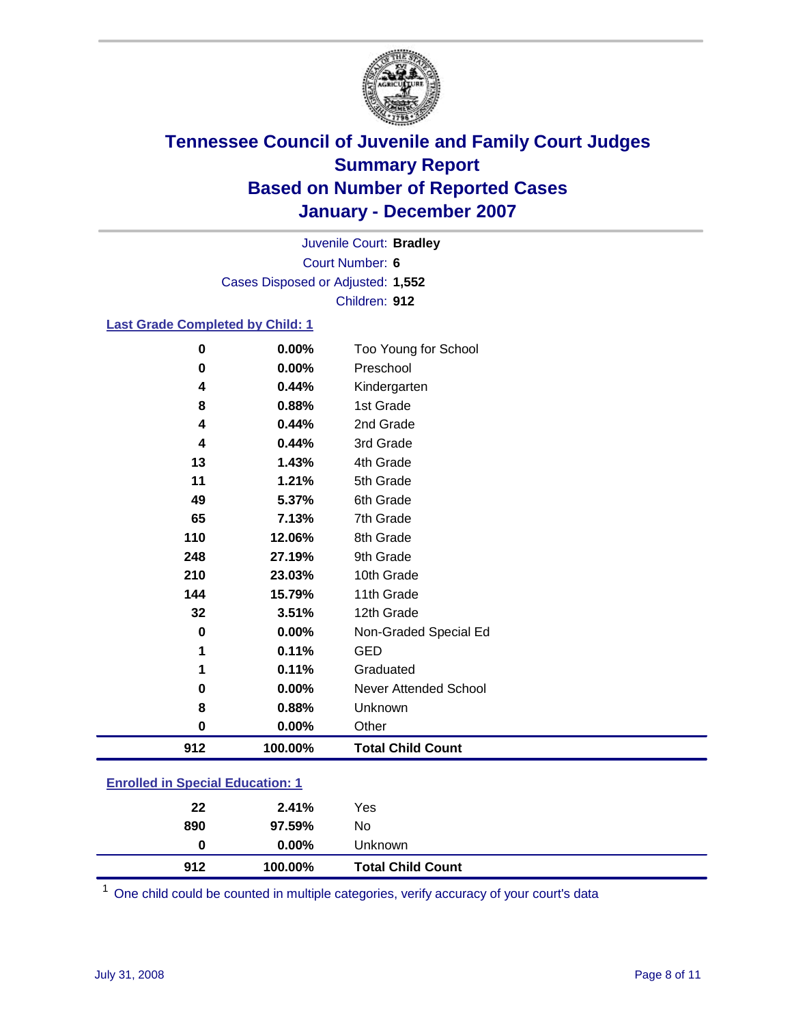

Court Number: **6** Juvenile Court: **Bradley** Cases Disposed or Adjusted: **1,552** Children: **912**

#### **Last Grade Completed by Child: 1**

| $\bf{0}$    | 0.00%   | Too Young for School     |
|-------------|---------|--------------------------|
| 0           | 0.00%   | Preschool                |
| 4           | 0.44%   | Kindergarten             |
| 8           | 0.88%   | 1st Grade                |
| 4           | 0.44%   | 2nd Grade                |
| 4           | 0.44%   | 3rd Grade                |
| 13          | 1.43%   | 4th Grade                |
| 11          | 1.21%   | 5th Grade                |
| 49          | 5.37%   | 6th Grade                |
| 65          | 7.13%   | 7th Grade                |
| 110         | 12.06%  | 8th Grade                |
| 248         | 27.19%  | 9th Grade                |
| 210         | 23.03%  | 10th Grade               |
| 144         | 15.79%  | 11th Grade               |
| 32          | 3.51%   | 12th Grade               |
| $\mathbf 0$ | 0.00%   | Non-Graded Special Ed    |
| 1           | 0.11%   | <b>GED</b>               |
|             | 0.11%   | Graduated                |
| 0           | 0.00%   | Never Attended School    |
| 8           | 0.88%   | Unknown                  |
| $\pmb{0}$   | 0.00%   | Other                    |
| 912         | 100.00% | <b>Total Child Count</b> |

### **Enrolled in Special Education: 1**

| 912 | 100.00%  | <b>Total Child Count</b> |  |
|-----|----------|--------------------------|--|
| 0   | $0.00\%$ | Unknown                  |  |
| 890 | 97.59%   | No                       |  |
| 22  | 2.41%    | Yes                      |  |
|     |          |                          |  |

One child could be counted in multiple categories, verify accuracy of your court's data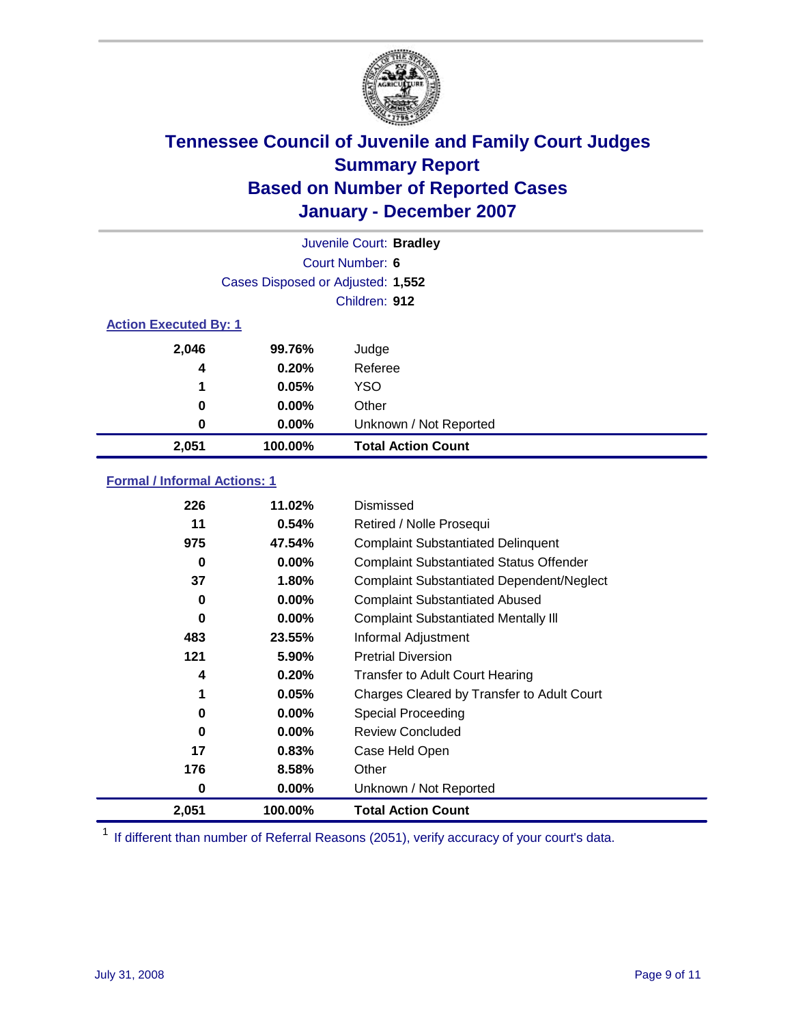

| Juvenile Court: Bradley |                                   |                           |  |  |  |
|-------------------------|-----------------------------------|---------------------------|--|--|--|
|                         | Court Number: 6                   |                           |  |  |  |
|                         | Cases Disposed or Adjusted: 1,552 |                           |  |  |  |
|                         |                                   | Children: 912             |  |  |  |
|                         | <b>Action Executed By: 1</b>      |                           |  |  |  |
| 2,046                   | 99.76%                            | Judge                     |  |  |  |
| 4                       | 0.20%                             | Referee                   |  |  |  |
| 1                       | 0.05%                             | <b>YSO</b>                |  |  |  |
| 0                       | 0.00%                             | Other                     |  |  |  |
| 0                       | $0.00\%$                          | Unknown / Not Reported    |  |  |  |
| 2,051                   | 100.00%                           | <b>Total Action Count</b> |  |  |  |

### **Formal / Informal Actions: 1**

| 226   | 11.02%   | Dismissed                                        |
|-------|----------|--------------------------------------------------|
| 11    | 0.54%    | Retired / Nolle Prosequi                         |
| 975   | 47.54%   | <b>Complaint Substantiated Delinquent</b>        |
| 0     | $0.00\%$ | <b>Complaint Substantiated Status Offender</b>   |
| 37    | 1.80%    | <b>Complaint Substantiated Dependent/Neglect</b> |
| 0     | $0.00\%$ | <b>Complaint Substantiated Abused</b>            |
| 0     | $0.00\%$ | <b>Complaint Substantiated Mentally III</b>      |
| 483   | 23.55%   | Informal Adjustment                              |
| 121   | 5.90%    | <b>Pretrial Diversion</b>                        |
| 4     | 0.20%    | <b>Transfer to Adult Court Hearing</b>           |
| 1     | 0.05%    | Charges Cleared by Transfer to Adult Court       |
| 0     | 0.00%    | Special Proceeding                               |
| 0     | $0.00\%$ | <b>Review Concluded</b>                          |
| 17    | 0.83%    | Case Held Open                                   |
| 176   | 8.58%    | Other                                            |
| 0     | 0.00%    | Unknown / Not Reported                           |
| 2,051 | 100.00%  | <b>Total Action Count</b>                        |

<sup>1</sup> If different than number of Referral Reasons (2051), verify accuracy of your court's data.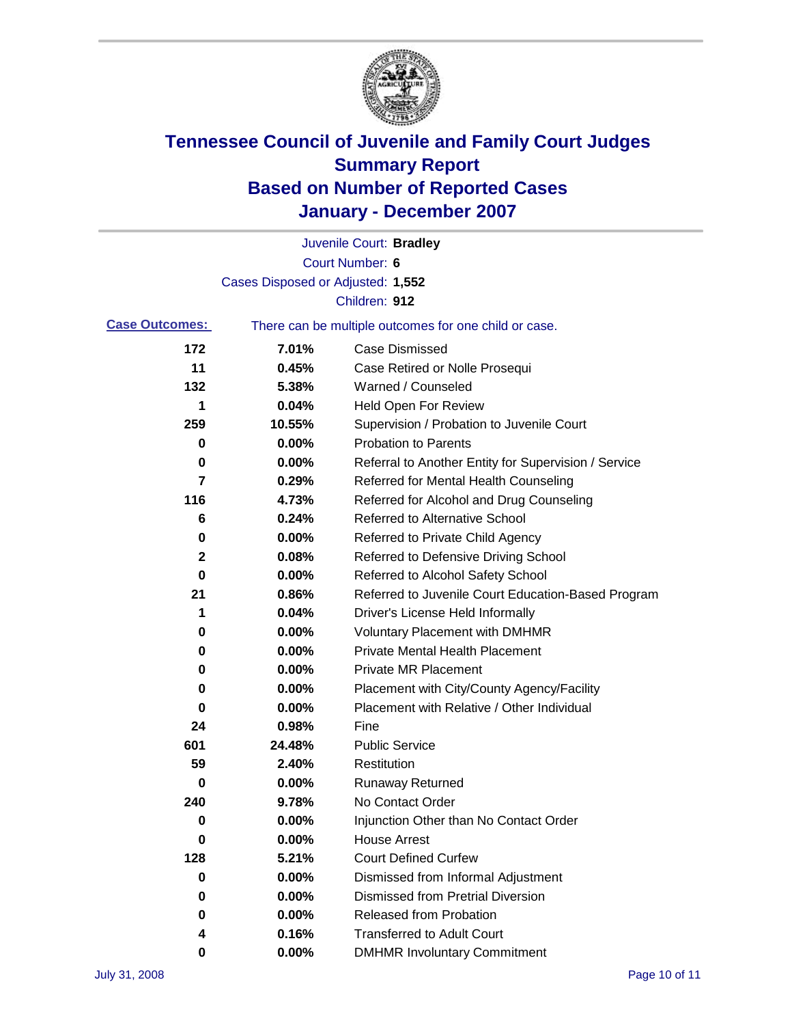

|                       |                                   | Juvenile Court: Bradley                               |
|-----------------------|-----------------------------------|-------------------------------------------------------|
|                       |                                   | <b>Court Number: 6</b>                                |
|                       | Cases Disposed or Adjusted: 1,552 |                                                       |
|                       |                                   | Children: 912                                         |
| <b>Case Outcomes:</b> |                                   | There can be multiple outcomes for one child or case. |
| 172                   | 7.01%                             | <b>Case Dismissed</b>                                 |
| 11                    | 0.45%                             | Case Retired or Nolle Prosequi                        |
| 132                   | 5.38%                             | Warned / Counseled                                    |
| 1                     | 0.04%                             | <b>Held Open For Review</b>                           |
| 259                   | 10.55%                            | Supervision / Probation to Juvenile Court             |
| 0                     | 0.00%                             | <b>Probation to Parents</b>                           |
| 0                     | 0.00%                             | Referral to Another Entity for Supervision / Service  |
| 7                     | 0.29%                             | Referred for Mental Health Counseling                 |
| 116                   | 4.73%                             | Referred for Alcohol and Drug Counseling              |
| 6                     | 0.24%                             | <b>Referred to Alternative School</b>                 |
| 0                     | 0.00%                             | Referred to Private Child Agency                      |
| 2                     | 0.08%                             | Referred to Defensive Driving School                  |
| 0                     | 0.00%                             | Referred to Alcohol Safety School                     |
| 21                    | 0.86%                             | Referred to Juvenile Court Education-Based Program    |
| 1                     | 0.04%                             | Driver's License Held Informally                      |
| 0                     | 0.00%                             | <b>Voluntary Placement with DMHMR</b>                 |
| 0                     | 0.00%                             | <b>Private Mental Health Placement</b>                |
| 0                     | 0.00%                             | Private MR Placement                                  |
| 0                     | 0.00%                             | Placement with City/County Agency/Facility            |
| 0                     | 0.00%                             | Placement with Relative / Other Individual            |
| 24                    | 0.98%                             | Fine                                                  |
| 601                   | 24.48%                            | <b>Public Service</b>                                 |
| 59                    | 2.40%                             | Restitution                                           |
| 0                     | 0.00%                             | <b>Runaway Returned</b>                               |
| 240                   | 9.78%                             | No Contact Order                                      |
| 0                     | 0.00%                             | Injunction Other than No Contact Order                |
| 0                     | 0.00%                             | <b>House Arrest</b>                                   |
| 128                   | 5.21%                             | <b>Court Defined Curfew</b>                           |
| 0                     | 0.00%                             | Dismissed from Informal Adjustment                    |
| 0                     | 0.00%                             | <b>Dismissed from Pretrial Diversion</b>              |
| 0                     | 0.00%                             | <b>Released from Probation</b>                        |
| 4                     | 0.16%                             | <b>Transferred to Adult Court</b>                     |
| 0                     | $0.00\%$                          | <b>DMHMR Involuntary Commitment</b>                   |